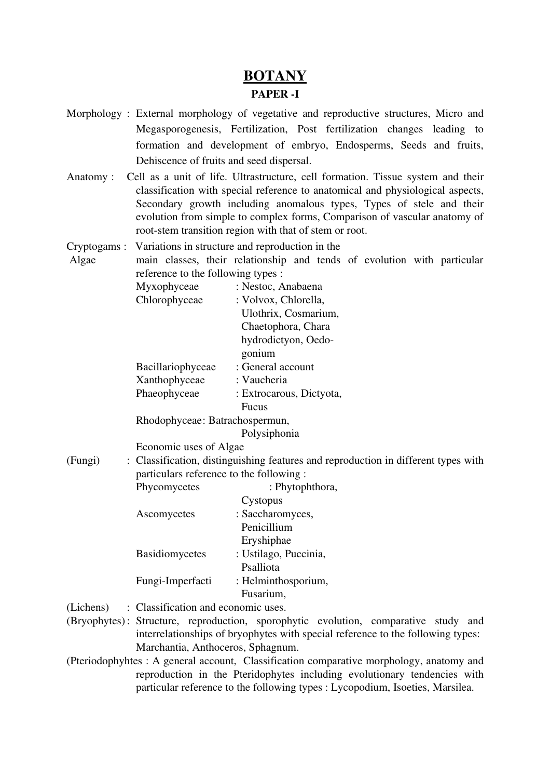## BOTANY

## PAPER<sub>-I</sub>

- Morphology : External morphology of vegetative and reproductive structures, Micro and Megasporogenesis, Fertilization, Post fertilization changes leading to formation and development of embryo, Endosperms, Seeds and fruits, Dehiscence of fruits and seed dispersal.
- Anatomy : Cell as a unit of life. Ultrastructure, cell formation. Tissue system and their classification with special reference to anatomical and physiological aspects, Secondary growth including anomalous types, Types of stele and their evolution from simple to complex forms, Comparison of vascular anatomy of root-stem transition region with that of stem or root.
- Cryptogams : Variations in structure and reproduction in the Algae main classes, their relationship and tends of evolution with particular reference to the following types :

| Myxophyceae                    | : Nestoc, Anabaena       |
|--------------------------------|--------------------------|
| Chlorophyceae                  | : Volvox, Chlorella,     |
|                                | Ulothrix, Cosmarium,     |
|                                | Chaetophora, Chara       |
|                                | hydrodictyon, Oedo-      |
|                                | gonium                   |
| Bacillariophyceae              | : General account        |
| Xanthophyceae                  | : Vaucheria              |
| Phaeophyceae                   | : Extrocarous, Dictyota, |
|                                | <b>Fucus</b>             |
| Rhodophyceae: Batrachospermun, |                          |
|                                |                          |

Polysiphonia

Economic uses of Algae

(Fungi) : Classification, distinguishing features and reproduction in different types with particulars reference to the following :

| Phycomycetes          | : Phytophthora,       |
|-----------------------|-----------------------|
|                       | Cystopus              |
| Ascomycetes           | : Saccharomyces,      |
|                       | Penicillium           |
|                       | Eryshiphae            |
| <b>Basidiomycetes</b> | : Ustilago, Puccinia, |
|                       | Psalliota             |
| Fungi-Imperfacti      | : Helminthosporium,   |
|                       | Fusarium,             |
|                       |                       |

- (Lichens) : Classification and economic uses.
- (Bryophytes): Structure, reproduction, sporophytic evolution, comparative study and interrelationships of bryophytes with special reference to the following types: Marchantia, Anthoceros, Sphagnum.
- (Pteriodophyhtes : A general account, Classification comparative morphology, anatomy and reproduction in the Pteridophytes including evolutionary tendencies with particular reference to the following types : Lycopodium, Isoeties, Marsilea.